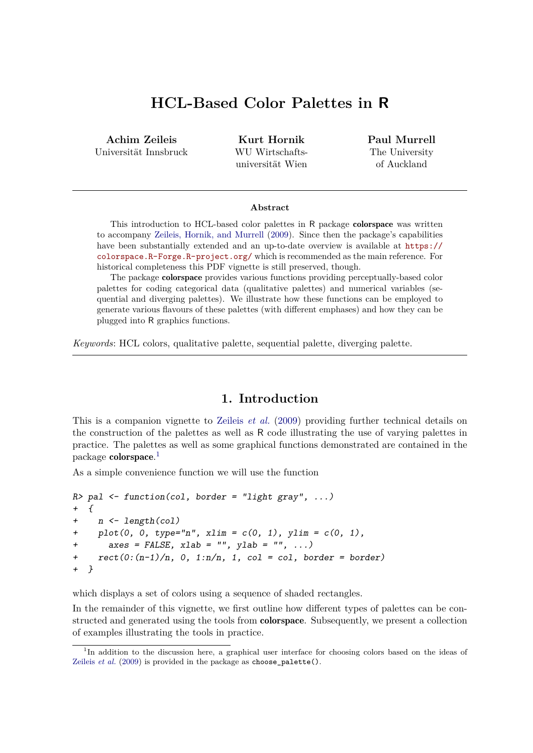# **HCL-Based Color Palettes in R**

**Achim Zeileis** Universität Innsbruck

**Kurt Hornik** WU Wirtschaftsuniversität Wien **Paul Murrell** The University of Auckland

#### **Abstract**

This introduction to HCL-based color palettes in R package colorspace was written to accompany [Zeileis, Hornik, and Murrell](#page-9-0) [\(2009\)](#page-9-0). Since then the package's capabilities have been substantially extended and an up-to-date overview is available at [https://](https://colorspace.R-Forge.R-project.org/) [colorspace.R-Forge.R-project.org/](https://colorspace.R-Forge.R-project.org/) which is recommended as the main reference. For historical completeness this PDF vignette is still preserved, though.

The package colorspace provides various functions providing perceptually-based color palettes for coding categorical data (qualitative palettes) and numerical variables (sequential and diverging palettes). We illustrate how these functions can be employed to generate various flavours of these palettes (with different emphases) and how they can be plugged into R graphics functions.

*Keywords*: HCL colors, qualitative palette, sequential palette, diverging palette.

## **1. Introduction**

This is a companion vignette to [Zeileis](#page-9-0) *et al.* [\(2009\)](#page-9-0) providing further technical details on the construction of the palettes as well as R code illustrating the use of varying palettes in practice. The palettes as well as some graphical functions demonstrated are contained in the package **colorspace**.<sup>[1](#page-0-0)</sup>

As a simple convenience function we will use the function

```
R> pal <- function(col, border = "light gray", ...)
+ {
+ n <- length(col)
+ plot(0, 0, type="n", xlim = c(0, 1), ylim = c(0, 1),
      axes = FALSE, xlab = "", ylab = "", ...)+ rect(0:(n-1)/n, 0, 1:n/n, 1, col = col, border = border)
+ }
```
which displays a set of colors using a sequence of shaded rectangles.

In the remainder of this vignette, we first outline how different types of palettes can be constructed and generated using the tools from colorspace. Subsequently, we present a collection of examples illustrating the tools in practice.

<span id="page-0-0"></span><sup>&</sup>lt;sup>1</sup>In addition to the discussion here, a graphical user interface for choosing colors based on the ideas of [Zeileis](#page-9-0) *et al.* [\(2009\)](#page-9-0) is provided in the package as choose\_palette().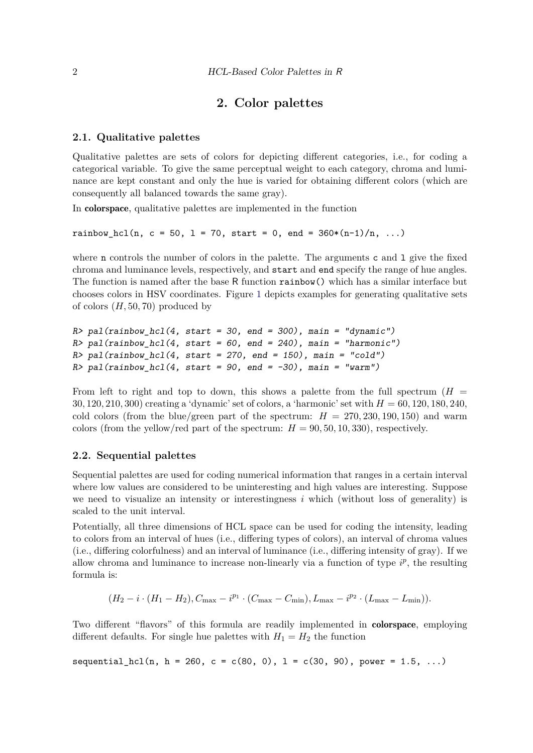# **2. Color palettes**

#### **2.1. Qualitative palettes**

Qualitative palettes are sets of colors for depicting different categories, i.e., for coding a categorical variable. To give the same perceptual weight to each category, chroma and luminance are kept constant and only the hue is varied for obtaining different colors (which are consequently all balanced towards the same gray).

In colorspace, qualitative palettes are implemented in the function

rainbow hcl(n, c = 50, l = 70, start = 0, end =  $360*(n-1)/n$ , ...)

where **n** controls the number of colors in the palette. The arguments  $c$  and  $1$  give the fixed chroma and luminance levels, respectively, and start and end specify the range of hue angles. The function is named after the base R function rainbow() which has a similar interface but chooses colors in HSV coordinates. Figure [1](#page-3-0) depicts examples for generating qualitative sets of colors (*H,* 50*,* 70) produced by

```
R> pal(rainbow_hcl(4, start = 30, end = 300), main = "dynamic")
R> pal(rainbow_hcl(4, start = 60, end = 240), main = "harmonic")
R> pal(rainbow_hcl(4, start = 270, end = 150), main = "cold")
R pal(rainbow hcl(4, start = 90, end = -30), main = "warm")
```
From left to right and top to down, this shows a palette from the full spectrum  $(H =$ 30, 120, 210, 300) creating a 'dynamic' set of colors, a 'harmonic' set with  $H = 60, 120, 180, 240$ , cold colors (from the blue/green part of the spectrum:  $H = 270, 230, 190, 150$ ) and warm colors (from the yellow/red part of the spectrum:  $H = 90, 50, 10, 330$ ), respectively.

#### **2.2. Sequential palettes**

Sequential palettes are used for coding numerical information that ranges in a certain interval where low values are considered to be uninteresting and high values are interesting. Suppose we need to visualize an intensity or interestingness  $i$  which (without loss of generality) is scaled to the unit interval.

Potentially, all three dimensions of HCL space can be used for coding the intensity, leading to colors from an interval of hues (i.e., differing types of colors), an interval of chroma values (i.e., differing colorfulness) and an interval of luminance (i.e., differing intensity of gray). If we allow chroma and luminance to increase non-linearly via a function of type  $i^p$ , the resulting formula is:

 $(H_2 - i \cdot (H_1 - H_2), C_{\text{max}} - i^{p_1} \cdot (C_{\text{max}} - C_{\text{min}}), L_{\text{max}} - i^{p_2} \cdot (L_{\text{max}} - L_{\text{min}})).$ 

Two different "flavors" of this formula are readily implemented in **colorspace**, employing different defaults. For single hue palettes with  $H_1 = H_2$  the function

sequential\_hcl(n, h = 260, c = c(80, 0), l = c(30, 90), power = 1.5, ...)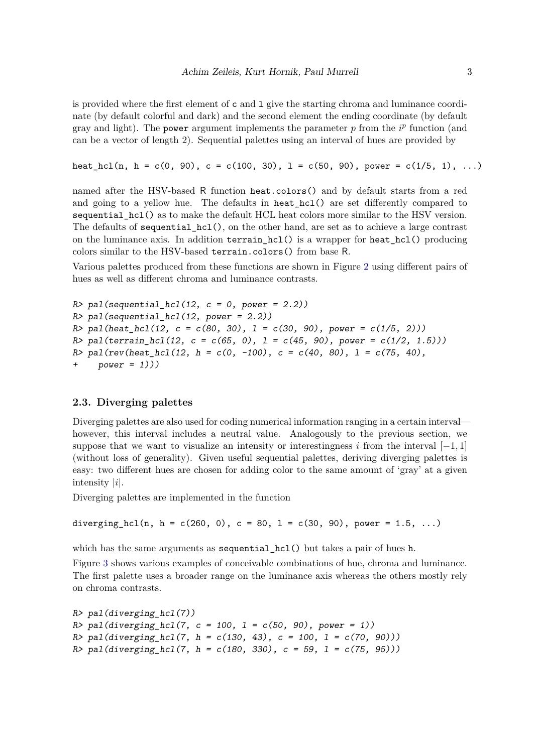is provided where the first element of  $c$  and  $1$  give the starting chroma and luminance coordinate (by default colorful and dark) and the second element the ending coordinate (by default gray and light). The power argument implements the parameter  $p$  from the  $i^p$  function (and can be a vector of length 2). Sequential palettes using an interval of hues are provided by

heat\_hcl(n, h = c(0, 90), c = c(100, 30), 1 = c(50, 90), power = c(1/5, 1), ...)

named after the HSV-based R function heat.colors() and by default starts from a red and going to a yellow hue. The defaults in heat hcl() are set differently compared to sequential hcl() as to make the default HCL heat colors more similar to the HSV version. The defaults of sequential\_hcl(), on the other hand, are set as to achieve a large contrast on the luminance axis. In addition terrain\_hcl() is a wrapper for heat\_hcl() producing colors similar to the HSV-based terrain.colors() from base R.

Various palettes produced from these functions are shown in Figure [2](#page-3-1) using different pairs of hues as well as different chroma and luminance contrasts.

```
R> pal(sequential_hcl(12, c = 0, power = 2.2))
R> pal(sequential_hcl(12, power = 2.2))
R> pal(heat hcl(12, c = c(80, 30), l = c(30, 90), power = c(1/5, 2)))
R> pal(terrain_hcl(12, c = c(65, 0), l = c(45, 90), power = c(1/2, 1.5)))
R> pal(rev(heat_hcl(12, h = c(0, -100), c = c(40, 80), l = c(75, 40),
+ power = 1)))
```
## **2.3. Diverging palettes**

Diverging palettes are also used for coding numerical information ranging in a certain interval however, this interval includes a neutral value. Analogously to the previous section, we suppose that we want to visualize an intensity or interestingness *i* from the interval  $[-1, 1]$ (without loss of generality). Given useful sequential palettes, deriving diverging palettes is easy: two different hues are chosen for adding color to the same amount of 'gray' at a given intensity |*i*|.

Diverging palettes are implemented in the function

diverging\_hcl(n, h = c(260, 0), c = 80, l = c(30, 90), power = 1.5, ...)

which has the same arguments as sequential  $hcl()$  but takes a pair of hues h.

Figure [3](#page-4-0) shows various examples of conceivable combinations of hue, chroma and luminance. The first palette uses a broader range on the luminance axis whereas the others mostly rely on chroma contrasts.

```
R> pal(diverging_hcl(7))
R> pal(diverging_hcl(7, c = 100, l = c(50, 90), power = 1))
R> pal(diverging_hcl(7, h = c(130, 43), c = 100, l = c(70, 90)))
R> pal(diverging_hcl(7, h = c(180, 330), c = 59, l = c(75, 95)))
```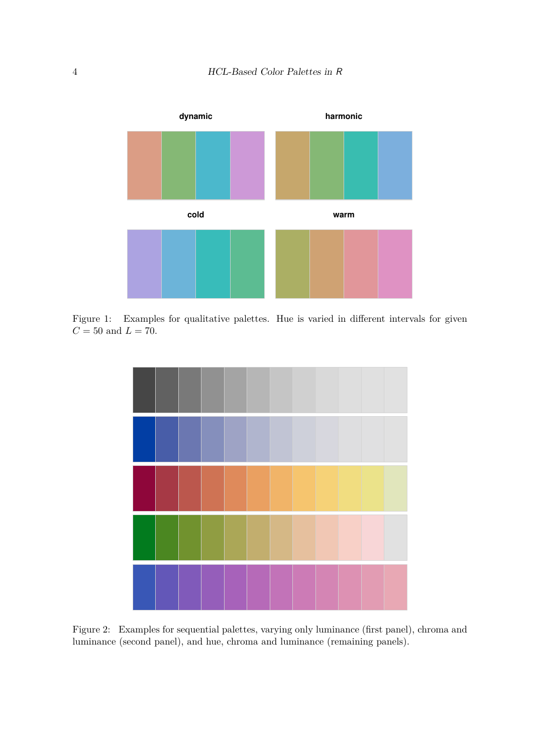

Figure 1: Examples for qualitative palettes. Hue is varied in different intervals for given  $C=50$  and  $L=70.$ 

<span id="page-3-0"></span>

<span id="page-3-1"></span>Figure 2: Examples for sequential palettes, varying only luminance (first panel), chroma and luminance (second panel), and hue, chroma and luminance (remaining panels).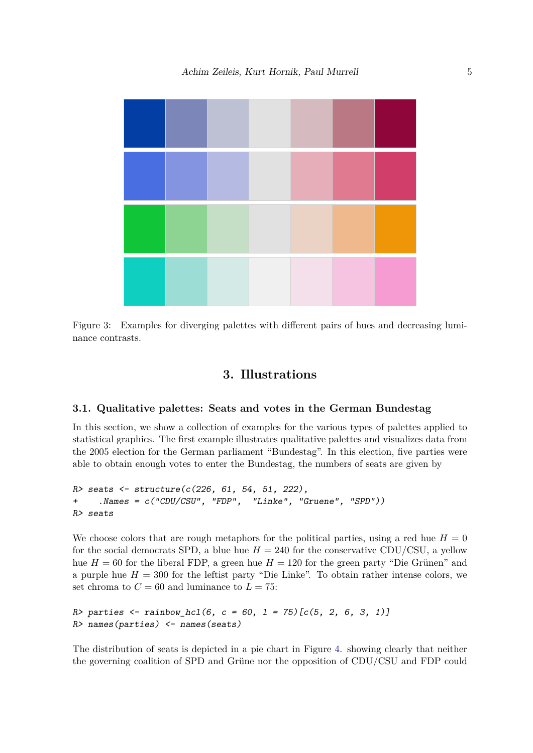

<span id="page-4-0"></span>Figure 3: Examples for diverging palettes with different pairs of hues and decreasing luminance contrasts.

## **3. Illustrations**

#### **3.1. Qualitative palettes: Seats and votes in the German Bundestag**

In this section, we show a collection of examples for the various types of palettes applied to statistical graphics. The first example illustrates qualitative palettes and visualizes data from the 2005 election for the German parliament "Bundestag". In this election, five parties were able to obtain enough votes to enter the Bundestag, the numbers of seats are given by

```
R> seats <- structure(c(226, 61, 54, 51, 222),
+ .Names = c("CDU/CSU", "FDP", "Linke", "Gruene", "SPD"))
R> seats
```
We choose colors that are rough metaphors for the political parties, using a red hue  $H = 0$ for the social democrats SPD, a blue hue  $H = 240$  for the conservative CDU/CSU, a yellow hue  $H = 60$  for the liberal FDP, a green hue  $H = 120$  for the green party "Die Grünen" and a purple hue  $H = 300$  for the leftist party "Die Linke". To obtain rather intense colors, we set chroma to  $C = 60$  and luminance to  $L = 75$ :

```
R> parties <- rainbow_hcl(6, c = 60, l = 75)[c(5, 2, 6, 3, 1)]
R> names(parties) <- names(seats)
```
The distribution of seats is depicted in a pie chart in Figure [4.](#page-6-0) showing clearly that neither the governing coalition of SPD and Grüne nor the opposition of CDU/CSU and FDP could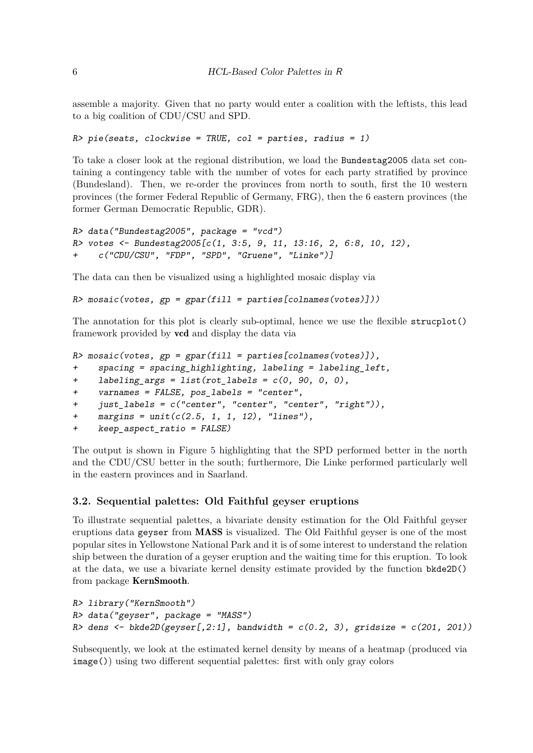assemble a majority. Given that no party would enter a coalition with the leftists, this lead to a big coalition of CDU/CSU and SPD.

```
R> pie(seats, clockwise = TRUE, col = parties, radius = 1)
```
To take a closer look at the regional distribution, we load the Bundestag2005 data set containing a contingency table with the number of votes for each party stratified by province (Bundesland). Then, we re-order the provinces from north to south, first the 10 western provinces (the former Federal Republic of Germany, FRG), then the 6 eastern provinces (the former German Democratic Republic, GDR).

```
R> data("Bundestag2005", package = "vcd")
R> votes <- Bundestag2005[c(1, 3:5, 9, 11, 13:16, 2, 6:8, 10, 12),
     + c("CDU/CSU", "FDP", "SPD", "Gruene", "Linke")]
```
The data can then be visualized using a highlighted mosaic display via

```
R> mosaic(votes, gp = gpar(fill = parties[colnames(votes)]))
```
The annotation for this plot is clearly sub-optimal, hence we use the flexible strucplot() framework provided by vcd and display the data via

```
R> mosaic(votes, gp = gpar(fill = parties[colnames(votes)]),
```

```
+ spacing = spacing_highlighting, labeling = labeling_left,
```

```
+ labeling_args = list(rot_labels = c(0, 90, 0, 0),
```
*+ varnames = FALSE, pos\_labels = "center",*

```
+ just_labels = c("center", "center", "center", "right")),
```

```
+ margins = unit(c(2.5, 1, 1, 12), "lines"),
```

```
+ keep_aspect_ratio = FALSE)
```
The output is shown in Figure [5](#page-6-1) highlighting that the SPD performed better in the north and the CDU/CSU better in the south; furthermore, Die Linke performed particularly well in the eastern provinces and in Saarland.

## **3.2. Sequential palettes: Old Faithful geyser eruptions**

To illustrate sequential palettes, a bivariate density estimation for the Old Faithful geyser eruptions data geyser from MASS is visualized. The Old Faithful geyser is one of the most popular sites in Yellowstone National Park and it is of some interest to understand the relation ship between the duration of a geyser eruption and the waiting time for this eruption. To look at the data, we use a bivariate kernel density estimate provided by the function bkde2D() from package KernSmooth.

```
R> library("KernSmooth")
R> data("geyser", package = "MASS")
R> dens <- bkde2D(geyser[,2:1], bandwidth = c(0.2, 3), gridsize = c(201, 201))
```
Subsequently, we look at the estimated kernel density by means of a heatmap (produced via  $image()$ ) using two different sequential palettes: first with only gray colors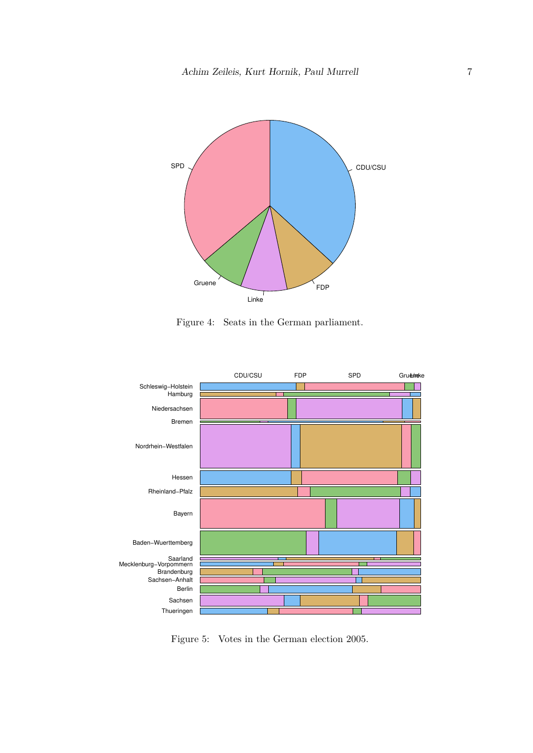

<span id="page-6-0"></span>Figure 4: Seats in the German parliament.



<span id="page-6-1"></span>Figure 5: Votes in the German election 2005.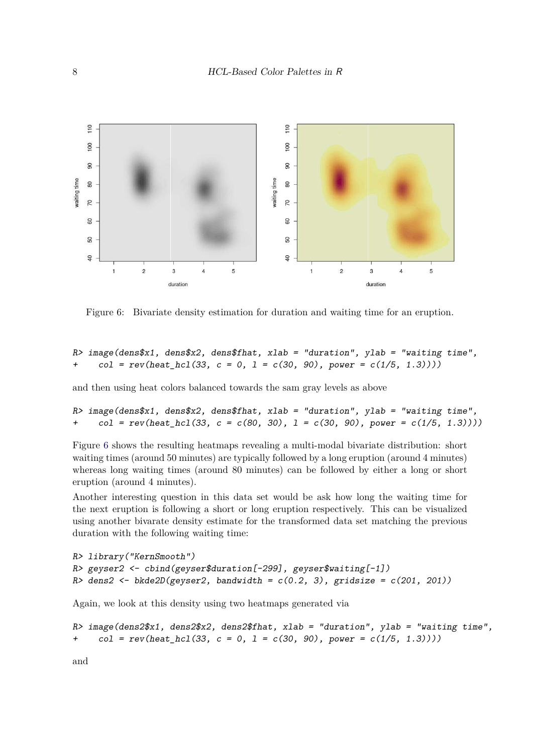

<span id="page-7-0"></span>Figure 6: Bivariate density estimation for duration and waiting time for an eruption.

*R> image(dens\$x1, dens\$x2, dens\$fhat, xlab = "duration", ylab = "waiting time",*  $col = rev(head_Lhcl(33, c = 0, l = c(30, 90), power = c(1/5, 1.3))))$ 

and then using heat colors balanced towards the sam gray levels as above

```
R> image(dens$x1, dens$x2, dens$fhat, xlab = "duration", ylab = "waiting time",
+ col = rev(\text{heat hcl}(33, c = c(80, 30), 1 = c(30, 90), power = c(1/5, 1.3))))
```
Figure [6](#page-7-0) shows the resulting heatmaps revealing a multi-modal bivariate distribution: short waiting times (around 50 minutes) are typically followed by a long eruption (around 4 minutes) whereas long waiting times (around 80 minutes) can be followed by either a long or short eruption (around 4 minutes).

Another interesting question in this data set would be ask how long the waiting time for the next eruption is following a short or long eruption respectively. This can be visualized using another bivarate density estimate for the transformed data set matching the previous duration with the following waiting time:

```
R> library("KernSmooth")
R> geyser2 <- cbind(geyser$duration[-299], geyser$waiting[-1])
R> dens2 <- bkde2D(geyser2, bandwidth = c(0.2, 3), gridsize = c(201, 201))
```
Again, we look at this density using two heatmaps generated via

```
R> image(dens2$x1, dens2$x2, dens2$fhat, xlab = "duration", ylab = "waiting time",
+ col = rev(heat_hcl(33, c = 0, l = c(30, 90), power = c(1/5, 1.3))))
```
and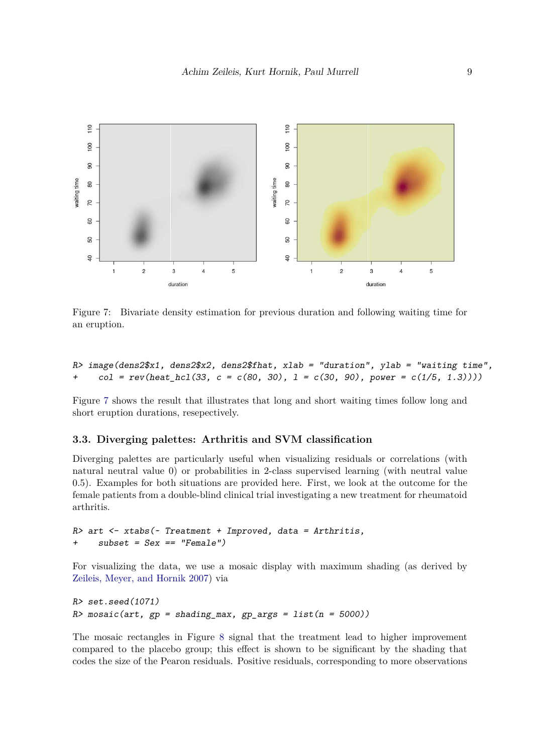

<span id="page-8-0"></span>Figure 7: Bivariate density estimation for previous duration and following waiting time for an eruption.

*R> image(dens2\$x1, dens2\$x2, dens2\$fhat, xlab = "duration", ylab = "waiting time", + col = rev(heat\_hcl(33, c = c(80, 30), l = c(30, 90), power = c(1/5, 1.3))))*

Figure [7](#page-8-0) shows the result that illustrates that long and short waiting times follow long and short eruption durations, resepectively.

#### **3.3. Diverging palettes: Arthritis and SVM classification**

Diverging palettes are particularly useful when visualizing residuals or correlations (with natural neutral value 0) or probabilities in 2-class supervised learning (with neutral value 0.5). Examples for both situations are provided here. First, we look at the outcome for the female patients from a double-blind clinical trial investigating a new treatment for rheumatoid arthritis.

```
R> art <- xtabs(~ Treatment + Improved, data = Arthritis,
+ subset = Sex == "Female")
```
For visualizing the data, we use a mosaic display with maximum shading (as derived by [Zeileis, Meyer, and Hornik 2007\)](#page-9-1) via

```
R> set.seed(1071)
R> mosaic(art, gp = shading_max, gp_args = list(n = 5000))
```
The mosaic rectangles in Figure [8](#page-10-0) signal that the treatment lead to higher improvement compared to the placebo group; this effect is shown to be significant by the shading that codes the size of the Pearon residuals. Positive residuals, corresponding to more observations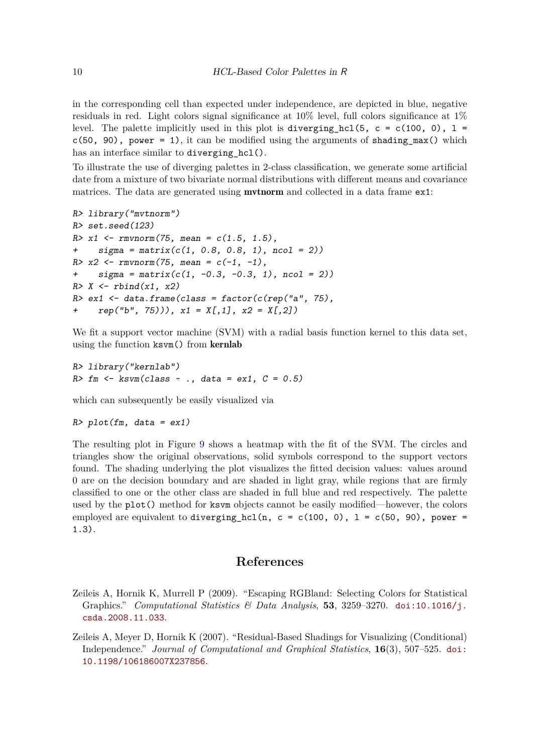in the corresponding cell than expected under independence, are depicted in blue, negative residuals in red. Light colors signal significance at  $10\%$  level, full colors significance at  $1\%$ level. The palette implicitly used in this plot is diverging hcl(5, c = c(100, 0), 1 =  $c(50, 90)$ , power = 1), it can be modified using the arguments of shading  $max()$  which has an interface similar to diverging hcl().

To illustrate the use of diverging palettes in 2-class classification, we generate some artificial date from a mixture of two bivariate normal distributions with different means and covariance matrices. The data are generated using **mythorm** and collected in a data frame ex1:

```
R> library("mvtnorm")
R> set.seed(123)
R> x1 <- rmvnorm(75, mean = c(1.5, 1.5),
+ sigma = matrix(c(1, 0.8, 0.8, 1), ncol = 2))
R> x2 <- rmvnorm(75, mean = c(-1, -1),
+ sigma = matrix(c(1, -0.3, -0.3, 1), ncol = 2))
R> X <- rbind(x1, x2)
R> ex1 <- data.frame(class = factor(c(rep("a", 75),
    + rep("b", 75))), x1 = X[,1], x2 = X[,2])
```
We fit a support vector machine  $(SVM)$  with a radial basis function kernel to this data set, using the function ksvm() from kernlab

```
R> library("kernlab")
R> fm <- ksvm(class ~ ., data = ex1, C = 0.5)
```
which can subsequently be easily visualized via

```
R> plot(fm, data = ex1)
```
The resulting plot in Figure [9](#page-10-1) shows a heatmap with the fit of the SVM. The circles and triangles show the original observations, solid symbols correspond to the support vectors found. The shading underlying the plot visualizes the fitted decision values: values around  $\alpha$  are on the decision boundary and are shaded in light gray, while regions that are firmly classified to one or the other class are shaded in full blue and red respectively. The palette used by the plot() method for ksvm objects cannot be easily modified—however, the colors employed are equivalent to diverging hcl(n, c = c(100, 0), 1 = c(50, 90), power = 1.3).

## **References**

- <span id="page-9-0"></span>Zeileis A, Hornik K, Murrell P  $(2009)$ . "Escaping RGBland: Selecting Colors for Statistical Graphics." *Computational Statistics*  $\mathcal{B}$  *Data Analysis*, **53**, 3259–3270. [doi:10.1016/j.](https://doi.org/10.1016/j.csda.2008.11.033) [csda.2008.11.033](https://doi.org/10.1016/j.csda.2008.11.033).
- <span id="page-9-1"></span>Zeileis A, Meyer D, Hornik K  $(2007)$ . "Residual-Based Shadings for Visualizing (Conditional) Independence.<sup>n</sup> *Journal of Computational and Graphical Statistics*, **16**(3), 507–525. [doi:](https://doi.org/10.1198/106186007X237856) [10.1198/106186007X237856](https://doi.org/10.1198/106186007X237856).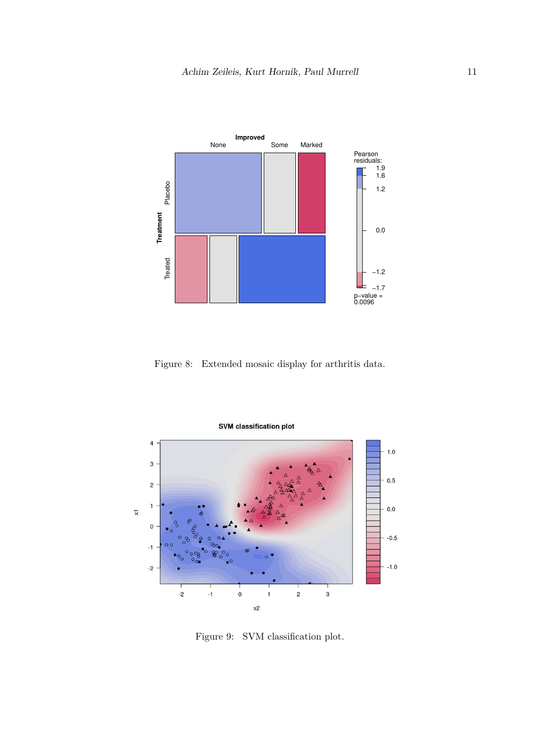

<span id="page-10-0"></span>Figure 8: Extended mosaic display for arthritis data.



<span id="page-10-1"></span>Figure 9: SVM classification plot.